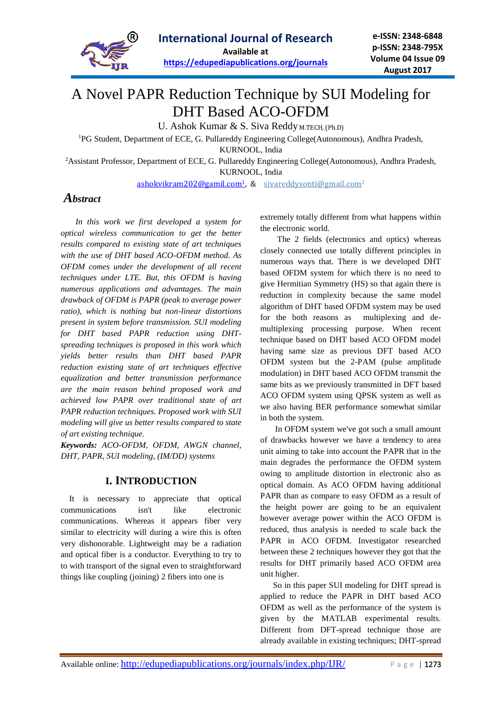

# A Novel PAPR Reduction Technique by SUI Modeling for DHT Based ACO-OFDM

U. Ashok Kumar & S. Siva Reddy M.TECH, (Ph.D)

<sup>1</sup>PG Student, Department of ECE, G. Pullareddy Engineering College(Autonomous), Andhra Pradesh,

KURNOOL, India

<sup>2</sup>Assistant Professor, Department of ECE, G. Pullareddy Engineering College(Autonomous), Andhra Pradesh, KURNOOL, India

[ashokvikram202@gamil.com](mailto:ashokvikram202@gamil.com1)<sup>1</sup>, & [sivareddysonti@gmail.com](mailto:sivareddysonti@gmail.com)<sup>2</sup>

## *Abstract*

 *In this work we first developed a system for optical wireless communication to get the better results compared to existing state of art techniques with the use of DHT based ACO-OFDM method. As OFDM comes under the development of all recent techniques under LTE. But, this OFDM is having numerous applications and advantages. The main drawback of OFDM is PAPR (peak to average power ratio), which is nothing but non-linear distortions present in system before transmission. SUI modeling for DHT based PAPR reduction using DHTspreading techniques is proposed in this work which yields better results than DHT based PAPR reduction existing state of art techniques effective equalization and better transmission performance are the main reason behind proposed work and achieved low PAPR over traditional state of art PAPR reduction techniques. Proposed work with SUI modeling will give us better results compared to state of art existing technique.*

*Keywords: ACO-OFDM, OFDM, AWGN channel, DHT, PAPR, SUI modeling, (IM/DD) systems*

### **I. INTRODUCTION**

 It is necessary to appreciate that optical communications isn't like electronic communications. Whereas it appears fiber very similar to electricity will during a wire this is often very dishonorable. Lightweight may be a radiation and optical fiber is a conductor. Everything to try to to with transport of the signal even to straightforward things like coupling (joining) 2 fibers into one is

extremely totally different from what happens within the electronic world.

 The 2 fields (electronics and optics) whereas closely connected use totally different principles in numerous ways that. There is we developed DHT based OFDM system for which there is no need to give Hermitian Symmetry (HS) so that again there is reduction in complexity because the same model algorithm of DHT based OFDM system may be used for the both reasons as multiplexing and demultiplexing processing purpose. When recent technique based on DHT based ACO OFDM model having same size as previous DFT based ACO OFDM system but the 2-PAM (pulse amplitude modulation) in DHT based ACO OFDM transmit the same bits as we previously transmitted in DFT based ACO OFDM system using QPSK system as well as we also having BER performance somewhat similar in both the system.

 In OFDM system we've got such a small amount of drawbacks however we have a tendency to area unit aiming to take into account the PAPR that in the main degrades the performance the OFDM system owing to amplitude distortion in electronic also as optical domain. As ACO OFDM having additional PAPR than as compare to easy OFDM as a result of the height power are going to be an equivalent however average power within the ACO OFDM is reduced, thus analysis is needed to scale back the PAPR in ACO OFDM. Investigator researched between these 2 techniques however they got that the results for DHT primarily based ACO OFDM area unit higher.

 So in this paper SUI modeling for DHT spread is applied to reduce the PAPR in DHT based ACO OFDM as well as the performance of the system is given by the MATLAB experimental results. Different from DFT-spread technique those are already available in existing techniques; DHT-spread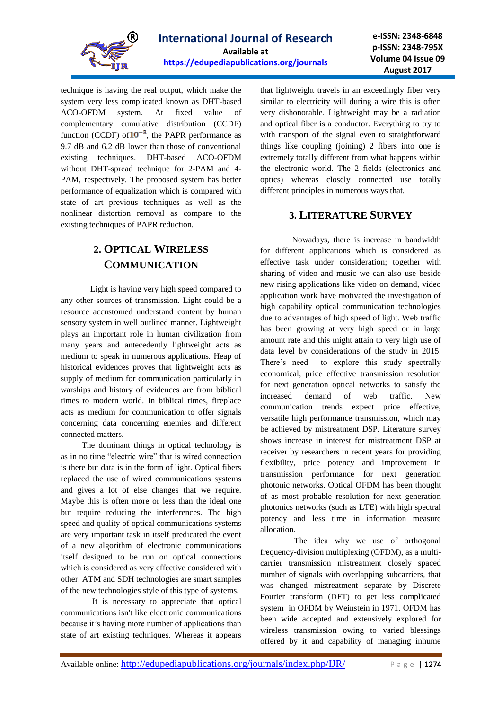

technique is having the real output, which make the system very less complicated known as DHT-based ACO-OFDM system. At fixed value of complementary cumulative distribution (CCDF) function (CCDF) of  $10^{-3}$ , the PAPR performance as 9.7 dB and 6.2 dB lower than those of conventional existing techniques. DHT-based ACO-OFDM without DHT-spread technique for 2-PAM and 4- PAM, respectively. The proposed system has better performance of equalization which is compared with state of art previous techniques as well as the nonlinear distortion removal as compare to the existing techniques of PAPR reduction.

# **2. OPTICAL WIRELESS COMMUNICATION**

 Light is having very high speed compared to any other sources of transmission. Light could be a resource accustomed understand content by human sensory system in well outlined manner. Lightweight plays an important role in human civilization from many years and antecedently lightweight acts as medium to speak in numerous applications. Heap of historical evidences proves that lightweight acts as supply of medium for communication particularly in warships and history of evidences are from biblical times to modern world. In biblical times, fireplace acts as medium for communication to offer signals concerning data concerning enemies and different connected matters.

 The dominant things in optical technology is as in no time "electric wire" that is wired connection is there but data is in the form of light. Optical fibers replaced the use of wired communications systems and gives a lot of else changes that we require. Maybe this is often more or less than the ideal one but require reducing the interferences. The high speed and quality of optical communications systems are very important task in itself predicated the event of a new algorithm of electronic communications itself designed to be run on optical connections which is considered as very effective considered with other. ATM and SDH technologies are smart samples of the new technologies style of this type of systems.

 It is necessary to appreciate that optical communications isn't like electronic communications because it's having more number of applications than state of art existing techniques. Whereas it appears that lightweight travels in an exceedingly fiber very similar to electricity will during a wire this is often very dishonorable. Lightweight may be a radiation and optical fiber is a conductor. Everything to try to with transport of the signal even to straightforward things like coupling (joining) 2 fibers into one is extremely totally different from what happens within the electronic world. The 2 fields (electronics and optics) whereas closely connected use totally different principles in numerous ways that.

### **3. LITERATURE SURVEY**

 Nowadays, there is increase in bandwidth for different applications which is considered as effective task under consideration; together with sharing of video and music we can also use beside new rising applications like video on demand, video application work have motivated the investigation of high capability optical communication technologies due to advantages of high speed of light. Web traffic has been growing at very high speed or in large amount rate and this might attain to very high use of data level by considerations of the study in 2015. There's need to explore this study spectrally economical, price effective transmission resolution for next generation optical networks to satisfy the increased demand of web traffic. New communication trends expect price effective, versatile high performance transmission, which may be achieved by mistreatment DSP. Literature survey shows increase in interest for mistreatment DSP at receiver by researchers in recent years for providing flexibility, price potency and improvement in transmission performance for next generation photonic networks. Optical OFDM has been thought of as most probable resolution for next generation photonics networks (such as LTE) with high spectral potency and less time in information measure allocation.

 The idea why we use of orthogonal frequency-division multiplexing (OFDM), as a multicarrier transmission mistreatment closely spaced number of signals with overlapping subcarriers, that was changed mistreatment separate by Discrete Fourier transform (DFT) to get less complicated system in OFDM by Weinstein in 1971. OFDM has been wide accepted and extensively explored for wireless transmission owing to varied blessings offered by it and capability of managing inhume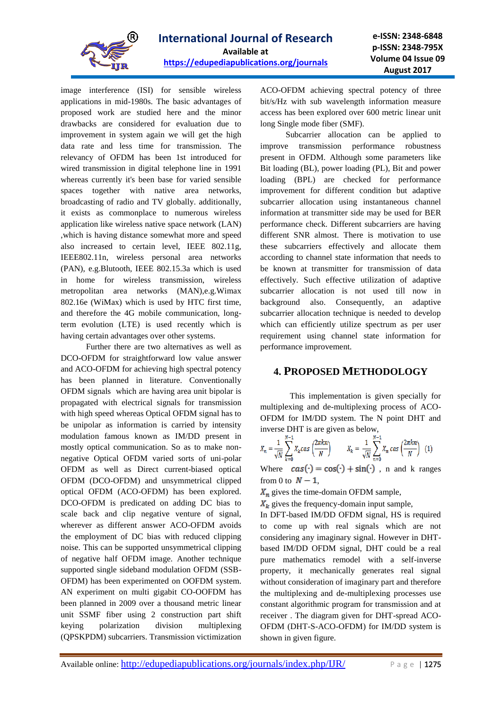

image interference (ISI) for sensible wireless applications in mid-1980s. The basic advantages of proposed work are studied here and the minor drawbacks are considered for evaluation due to improvement in system again we will get the high data rate and less time for transmission. The relevancy of OFDM has been 1st introduced for wired transmission in digital telephone line in 1991 whereas currently it's been base for varied sensible spaces together with native area networks, broadcasting of radio and TV globally. additionally, it exists as commonplace to numerous wireless application like wireless native space network (LAN) ,which is having distance somewhat more and speed also increased to certain level, IEEE 802.11g, IEEE802.11n, wireless personal area networks (PAN), e.g.Blutooth, IEEE 802.15.3a which is used in home for wireless transmission, wireless metropolitan area networks (MAN),e.g.Wimax 802.16e (WiMax) which is used by HTC first time, and therefore the 4G mobile communication, longterm evolution (LTE) is used recently which is having certain advantages over other systems.

 Further there are two alternatives as well as DCO-OFDM for straightforward low value answer and ACO-OFDM for achieving high spectral potency has been planned in literature. Conventionally OFDM signals which are having area unit bipolar is propagated with electrical signals for transmission with high speed whereas Optical OFDM signal has to be unipolar as information is carried by intensity modulation famous known as IM/DD present in mostly optical communication. So as to make nonnegative Optical OFDM varied sorts of uni-polar OFDM as well as Direct current-biased optical OFDM (DCO-OFDM) and unsymmetrical clipped optical OFDM (ACO-OFDM) has been explored. DCO-OFDM is predicated on adding DC bias to scale back and clip negative venture of signal, wherever as different answer ACO-OFDM avoids the employment of DC bias with reduced clipping noise. This can be supported unsymmetrical clipping of negative half OFDM image. Another technique supported single sideband modulation OFDM (SSB-OFDM) has been experimented on OOFDM system. AN experiment on multi gigabit CO-OOFDM has been planned in 2009 over a thousand metric linear unit SSMF fiber using 2 construction part shift keying polarization division multiplexing (QPSKPDM) subcarriers. Transmission victimization ACO-OFDM achieving spectral potency of three bit/s/Hz with sub wavelength information measure access has been explored over 600 metric linear unit long Single mode fiber (SMF).

 Subcarrier allocation can be applied to improve transmission performance robustness present in OFDM. Although some parameters like Bit loading (BL), power loading (PL), Bit and power loading (BPL) are checked for performance improvement for different condition but adaptive subcarrier allocation using instantaneous channel information at transmitter side may be used for BER performance check. Different subcarriers are having different SNR almost. There is motivation to use these subcarriers effectively and allocate them according to channel state information that needs to be known at transmitter for transmission of data effectively. Such effective utilization of adaptive subcarrier allocation is not used till now in background also. Consequently, an adaptive subcarrier allocation technique is needed to develop which can efficiently utilize spectrum as per user requirement using channel state information for performance improvement.

### **4. PROPOSED METHODOLOGY**

 This implementation is given specially for multiplexing and de-multiplexing process of ACO-OFDM for IM/DD system. The N point DHT and inverse DHT is are given as below,

$$
X_n = \frac{1}{\sqrt{N}} \sum_{k=0}^{N-1} X_k \cos\left(\frac{2\pi k n}{N}\right) \qquad X_k = \frac{1}{\sqrt{N}} \sum_{n=0}^{N-1} X_n \cos\left(\frac{2\pi k n}{N}\right) \tag{1}
$$

Where  $cas(\cdot) = cos(\cdot) + sin(\cdot)$ , n and k ranges from 0 to  $N-1$ ,

 $X_n$  gives the time-domain OFDM sample,

 $X_{k}$  gives the frequency-domain input sample,

In DFT-based IM/DD OFDM signal, HS is required to come up with real signals which are not considering any imaginary signal. However in DHTbased IM/DD OFDM signal, DHT could be a real pure mathematics remodel with a self-inverse property, it mechanically generates real signal without consideration of imaginary part and therefore the multiplexing and de-multiplexing processes use constant algorithmic program for transmission and at receiver . The diagram given for DHT-spread ACO-OFDM (DHT-S-ACO-OFDM) for IM/DD system is shown in given figure.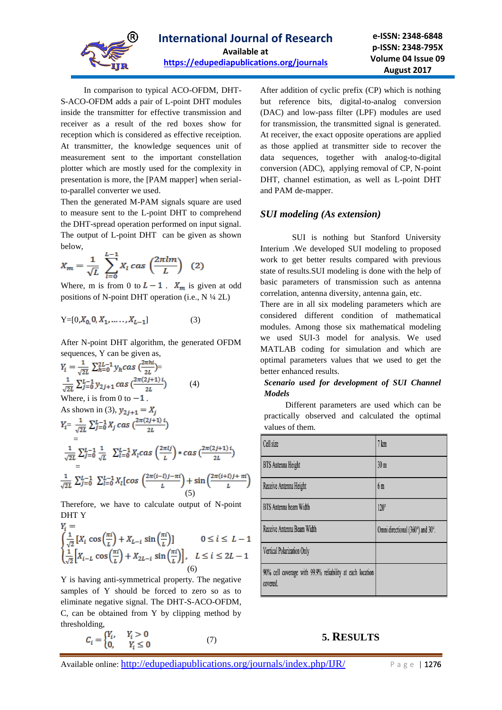

 In comparison to typical ACO-OFDM, DHT-S-ACO-OFDM adds a pair of L-point DHT modules inside the transmitter for effective transmission and receiver as a result of the red boxes show for reception which is considered as effective receiption. At transmitter, the knowledge sequences unit of measurement sent to the important constellation plotter which are mostly used for the complexity in presentation is more, the [PAM mapper] when serialto-parallel converter we used.

Then the generated M-PAM signals square are used to measure sent to the L-point DHT to comprehend the DHT-spread operation performed on input signal. The output of L-point DHT can be given as shown below,

$$
X_m = \frac{1}{\sqrt{L}} \sum_{l=0}^{L-1} X_l \cos\left(\frac{2\pi lm}{L}\right) \tag{2}
$$

Where, m is from 0 to  $L - 1$ .  $X_m$  is given at odd positions of N-point DHT operation (i.e.,  $N \frac{1}{4} 2L$ )

$$
Y = [0, X_0, 0, X_1, \dots, X_{L-1}]
$$
 (3)

After N-point DHT algorithm, the generated OFDM sequences, Y can be given as,

$$
Y_{i} = \frac{1}{\sqrt{2L}} \sum_{h=0}^{2L-1} y_{h}cas \left(\frac{2\pi h i}{2L}\right) =
$$
\n
$$
\frac{1}{\sqrt{2L}} \sum_{j=0}^{L-1} y_{2j+1} cas \left(\frac{2\pi (2j+1) i}{2L}\right) \qquad (4)
$$
\nWhere, i is from 0 to -1.  
\nAs shown in (3),  $y_{2j+1} = X_{j}$   
\n
$$
Y_{i} = \frac{1}{\sqrt{2L}} \sum_{j=0}^{L-1} X_{j} cas \left(\frac{2\pi (2j+1) i}{2L}\right)
$$
\n
$$
= \frac{1}{\sqrt{2L}} \sum_{j=0}^{L-1} \frac{1}{\sqrt{L}} \sum_{l=0}^{L-1} X_{l}cas \left(\frac{2\pi l j}{L}\right) * cas \left(\frac{2\pi (2j+1) i}{2L}\right)
$$
\n
$$
= \frac{1}{\sqrt{2L}} \sum_{j=0}^{L-1} \sum_{l=0}^{L-1} X_{l} [cos \left(\frac{2\pi (i-l)j-\pi i}{L}\right) + sin \left(\frac{2\pi (i+l)j+\pi i}{L}\right) \qquad (5)
$$

Therefore, we have to calculate output of N-point DHT Y  $\mathbf{v}$   $-$ 

$$
I_{i} = \int \frac{1}{\sqrt{2}} \left[ X_{i} \cos\left(\frac{\pi i}{L}\right) + X_{L-i} \sin\left(\frac{\pi i}{L}\right) \right] \qquad 0 \le i \le L - 1
$$
  

$$
\frac{1}{\sqrt{2}} \left[ X_{i-L} \cos\left(\frac{\pi i}{L}\right) + X_{2L-i} \sin\left(\frac{\pi i}{L}\right) \right], \quad L \le i \le 2L - 1
$$
  
(6)

Y is having anti-symmetrical property. The negative samples of Y should be forced to zero so as to eliminate negative signal. The DHT-S-ACO-OFDM, C, can be obtained from Y by clipping method by thresholding,

$$
C_i = \begin{cases} Y_i, & Y_i > 0 \\ 0, & Y_i \le 0 \end{cases}
$$
 (7)

After addition of cyclic prefix (CP) which is nothing but reference bits, digital-to-analog conversion (DAC) and low-pass filter (LPF) modules are used for transmission, the transmitted signal is generated. At receiver, the exact opposite operations are applied as those applied at transmitter side to recover the data sequences, together with analog-to-digital conversion (ADC), applying removal of CP, N-point DHT, channel estimation, as well as L-point DHT and PAM de-mapper.

#### *SUI modeling (As extension)*

 SUI is nothing but Stanford University Interium .We developed SUI modeling to proposed work to get better results compared with previous state of results.SUI modeling is done with the help of basic parameters of transmission such as antenna correlation, antenna diversity, antenna gain, etc.

There are in all six modeling parameters which are considered different condition of mathematical modules. Among those six mathematical modeling we used SUI-3 model for analysis. We used MATLAB coding for simulation and which are optimal parameters values that we used to get the better enhanced results.

#### *Scenario used for development of SUI Channel Models*

 Different parameters are used which can be practically observed and calculated the optimal values of them.

| Cell size                                                             | 7 km                             |
|-----------------------------------------------------------------------|----------------------------------|
| <b>BTS</b> Antenna Height                                             | 30 <sub>m</sub>                  |
| Receive Antenna Height                                                | 6m                               |
| BTS Antenna beam Width                                                | $120^\circ$                      |
| Receive Antenna Beam Width                                            | Omni directional (360°) and 30°. |
| Vertical Polarization Only                                            |                                  |
| 90% cell coverage with 99.9% reliability at each location<br>covered. |                                  |

### **5. RESULTS**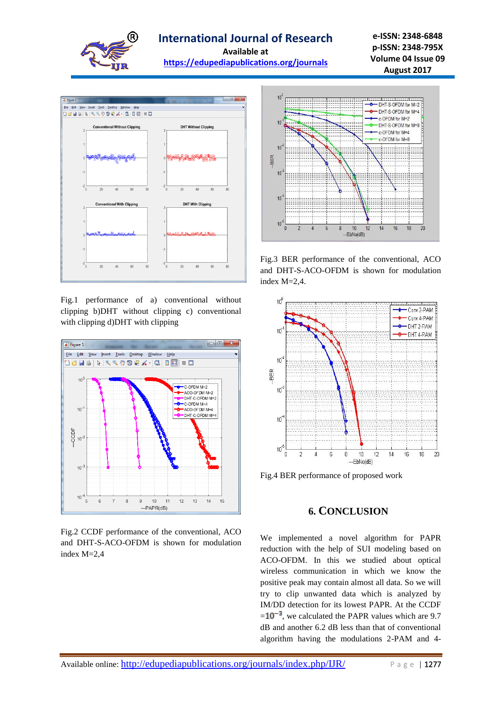

**e-ISSN: 2348-6848 p-ISSN: 2348-795X Volume 04 Issue 09 August 2017**



Fig.1 performance of a) conventional without clipping b)DHT without clipping c) conventional with clipping d)DHT with clipping



Fig.2 CCDF performance of the conventional, ACO and DHT-S-ACO-OFDM is shown for modulation index M=2,4



Fig.3 BER performance of the conventional, ACO and DHT-S-ACO-OFDM is shown for modulation index M=2,4.



Fig.4 BER performance of proposed work

### **6. CONCLUSION**

We implemented a novel algorithm for PAPR reduction with the help of SUI modeling based on ACO-OFDM. In this we studied about optical wireless communication in which we know the positive peak may contain almost all data. So we will try to clip unwanted data which is analyzed by IM/DD detection for its lowest PAPR. At the CCDF  $= 10^{-3}$ , we calculated the PAPR values which are 9.7 dB and another 6.2 dB less than that of conventional algorithm having the modulations 2-PAM and 4-